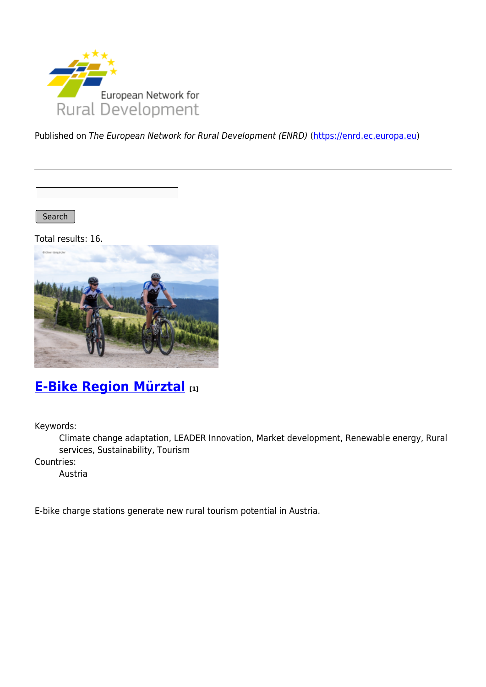

Published on The European Network for Rural Development (ENRD) [\(https://enrd.ec.europa.eu](https://enrd.ec.europa.eu))

Search

Total results: 16.



# **[E-Bike Region Mürztal](https://enrd.ec.europa.eu/projects-practice/e-bike-region-murztal_en) [1]**

Keywords:

Climate change adaptation, LEADER Innovation, Market development, Renewable energy, Rural services, Sustainability, Tourism

Countries:

Austria

E-bike charge stations generate new rural tourism potential in Austria.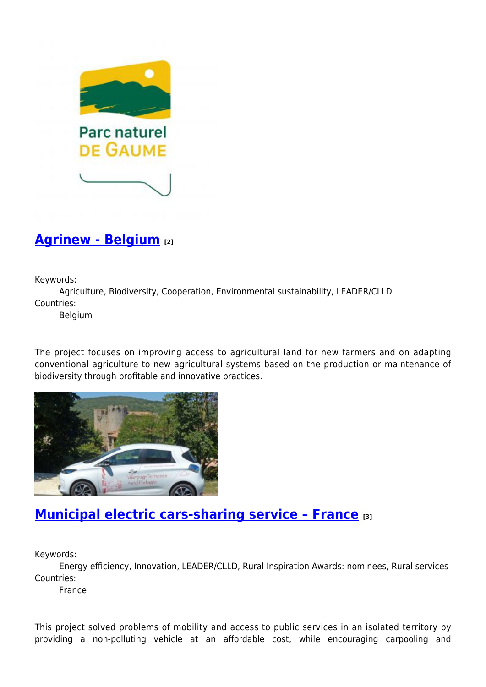

#### **[Agrinew - Belgium](https://enrd.ec.europa.eu/projects-practice/agrinew-belgium_en) [2]**

Keywords:

Agriculture, Biodiversity, Cooperation, Environmental sustainability, LEADER/CLLD Countries:

Belgium

The project focuses on improving access to agricultural land for new farmers and on adapting conventional agriculture to new agricultural systems based on the production or maintenance of biodiversity through profitable and innovative practices.



#### **[Municipal electric cars-sharing service – France](https://enrd.ec.europa.eu/projects-practice/municipal-electric-cars-sharing-service-france_en) [3]**

Keywords:

Energy efficiency, Innovation, LEADER/CLLD, Rural Inspiration Awards: nominees, Rural services Countries:

France

This project solved problems of mobility and access to public services in an isolated territory by providing a non-polluting vehicle at an affordable cost, while encouraging carpooling and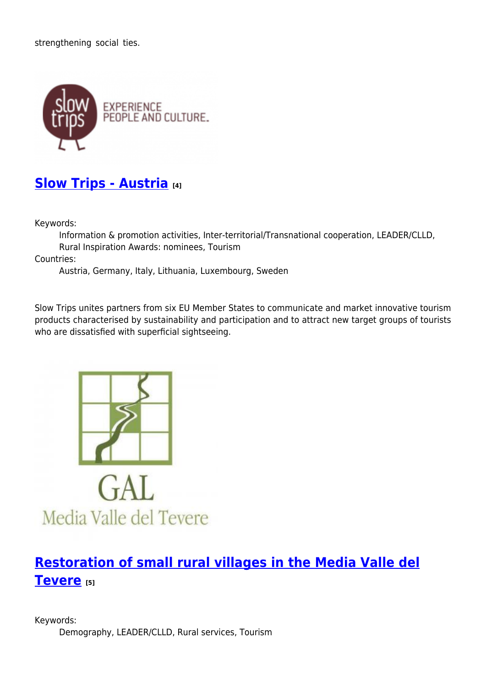strengthening social ties.



#### **[Slow Trips - Austria](https://enrd.ec.europa.eu/projects-practice/slow-trips-austria_en) [4]**

Keywords:

Information & promotion activities, Inter-territorial/Transnational cooperation, LEADER/CLLD, Rural Inspiration Awards: nominees, Tourism

Countries:

Austria, Germany, Italy, Lithuania, Luxembourg, Sweden

Slow Trips unites partners from six EU Member States to communicate and market innovative tourism products characterised by sustainability and participation and to attract new target groups of tourists who are dissatisfied with superficial sightseeing.



### **[Restoration of small rural villages in the Media Valle del](https://enrd.ec.europa.eu/projects-practice/restoration-small-rural-villages-media-valle-del-tevere_en) [Tevere](https://enrd.ec.europa.eu/projects-practice/restoration-small-rural-villages-media-valle-del-tevere_en) [5]**

Keywords: Demography, LEADER/CLLD, Rural services, Tourism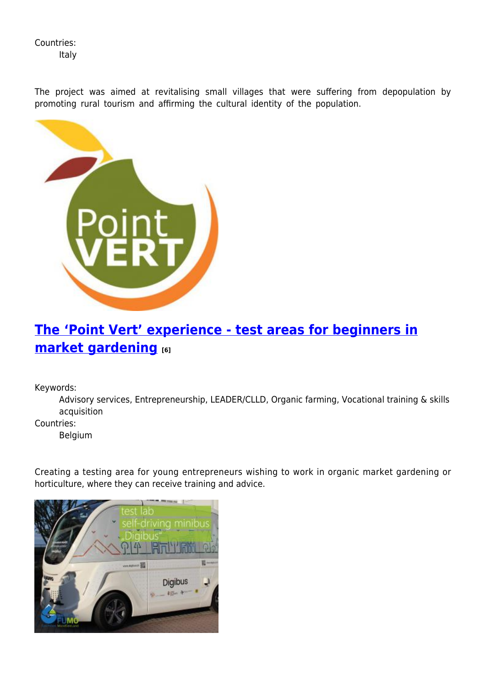Countries: Italy

The project was aimed at revitalising small villages that were suffering from depopulation by promoting rural tourism and affirming the cultural identity of the population.



## **[The 'Point Vert' experience - test areas for beginners in](https://enrd.ec.europa.eu/projects-practice/point-vert-experience-test-areas-beginners-market-gardening_en) [market gardening](https://enrd.ec.europa.eu/projects-practice/point-vert-experience-test-areas-beginners-market-gardening_en) [6]**

Keywords:

Advisory services, Entrepreneurship, LEADER/CLLD, Organic farming, Vocational training & skills acquisition

Countries:

Belgium

Creating a testing area for young entrepreneurs wishing to work in organic market gardening or horticulture, where they can receive training and advice.

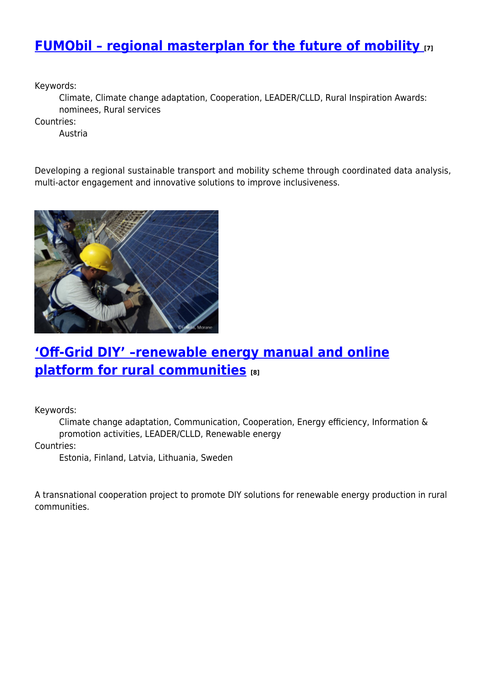### **[FUMObil – regional masterplan for the future of mobility](https://enrd.ec.europa.eu/projects-practice/fumobil-regional-masterplan-future-mobility_en) [7]**

Keywords:

Climate, Climate change adaptation, Cooperation, LEADER/CLLD, Rural Inspiration Awards: nominees, Rural services

Countries:

Austria

Developing a regional sustainable transport and mobility scheme through coordinated data analysis, multi-actor engagement and innovative solutions to improve inclusiveness.



### **['Off-Grid DIY' –renewable energy manual and online](https://enrd.ec.europa.eu/projects-practice/grid-diy-renewable-energy-manual-and-online-platform-rural-communities_en) [platform for rural communities](https://enrd.ec.europa.eu/projects-practice/grid-diy-renewable-energy-manual-and-online-platform-rural-communities_en) [8]**

Keywords:

Climate change adaptation, Communication, Cooperation, Energy efficiency, Information & promotion activities, LEADER/CLLD, Renewable energy

Countries:

Estonia, Finland, Latvia, Lithuania, Sweden

A transnational cooperation project to promote DIY solutions for renewable energy production in rural communities.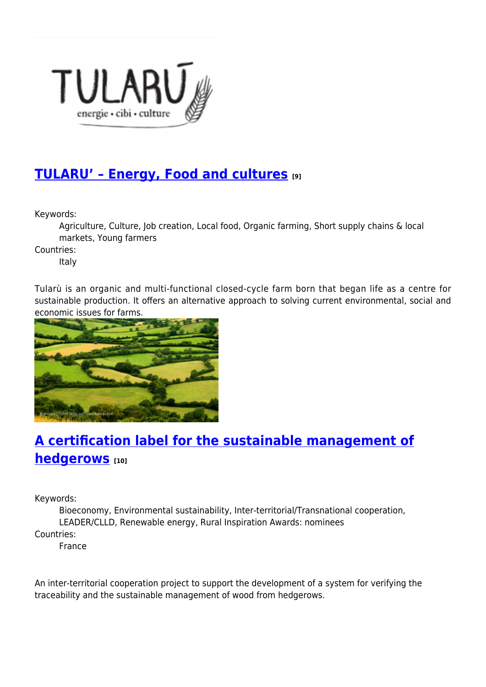

### **[TULARU' – Energy, Food and cultures](https://enrd.ec.europa.eu/projects-practice/tularu-energy-food-and-cultures_en) [9]**

Keywords:

Agriculture, Culture, Job creation, Local food, Organic farming, Short supply chains & local markets, Young farmers

Countries:

Italy

Tularù is an organic and multi-functional closed-cycle farm born that began life as a centre for sustainable production. It offers an alternative approach to solving current environmental, social and economic issues for farms.



# **[A certification label for the sustainable management of](https://enrd.ec.europa.eu/projects-practice/certification-label-sustainable-management-hedgerows_en) [hedgerows](https://enrd.ec.europa.eu/projects-practice/certification-label-sustainable-management-hedgerows_en) [10]**

Keywords:

Bioeconomy, Environmental sustainability, Inter-territorial/Transnational cooperation, LEADER/CLLD, Renewable energy, Rural Inspiration Awards: nominees Countries:

France

An inter-territorial cooperation project to support the development of a system for verifying the traceability and the sustainable management of wood from hedgerows.